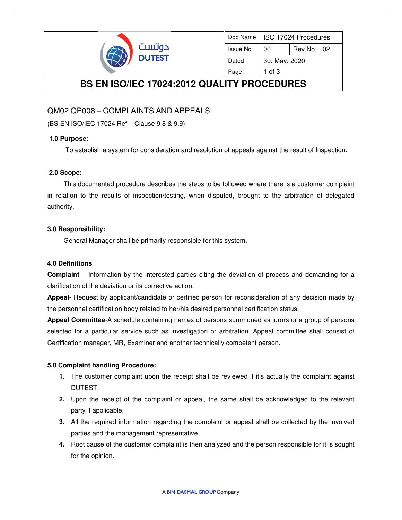

| Doc Name        | ISO 17024 Procedures |        |      |
|-----------------|----------------------|--------|------|
| <b>Issue No</b> | 00                   | Rev No | l 02 |
| Dated           | 30. May. 2020        |        |      |
| Page            | 1 of $3$             |        |      |

## **BS EN ISO/IEC 17024:2012 QUALITY PROCEDURES**

### QM02 QP008 – COMPLAINTS AND APPEALS

(BS EN ISO/IEC 17024 Ref – Clause 9.8 & 9.9)

#### **1.0 Purpose:**

To establish a system for consideration and resolution of appeals against the result of Inspection.

#### **2.0 Scope**:

 This documented procedure describes the steps to be followed where there is a customer complaint in relation to the results of inspection/testing, when disputed, brought to the arbitration of delegated authority.

#### **3.0 Responsibility:**

General Manager shall be primarily responsible for this system.

#### **4.0 Definitions**

**Complaint** – Information by the interested parties citing the deviation of process and demanding for a clarification of the deviation or its corrective action.

**Appeal**- Request by applicant/candidate or certified person for reconsideration of any decision made by the personnel certification body related to her/his desired personnel certification status.

**Appeal Committee**-A schedule containing names of persons summoned as jurors or a group of persons selected for a particular service such as investigation or arbitration. Appeal committee shall consist of Certification manager, MR, Examiner and another technically competent person.

#### **5.0 Complaint handling Procedure:**

- **1.** The customer complaint upon the receipt shall be reviewed if it's actually the complaint against DUTEST.
- **2.** Upon the receipt of the complaint or appeal, the same shall be acknowledged to the relevant party if applicable.
- **3.** All the required information regarding the complaint or appeal shall be collected by the involved parties and the management representative.
- **4.** Root cause of the customer complaint is then analyzed and the person responsible for it is sought for the opinion.

A BIN DASMAL GROUP Company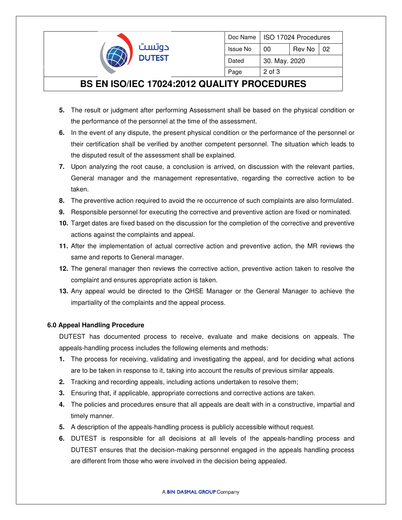

| Doc Name | ISO 17024 Procedures |        |    |  |  |
|----------|----------------------|--------|----|--|--|
| Issue No | 00                   | Rev No | 02 |  |  |
| Dated    | 30. May. 2020        |        |    |  |  |
| Page     | $2$ of $3$           |        |    |  |  |

# **BS EN ISO/IEC 17024:2012 QUALITY PROCEDURES**

- **5.** The result or judgment after performing Assessment shall be based on the physical condition or the performance of the personnel at the time of the assessment.
- **6.** In the event of any dispute, the present physical condition or the performance of the personnel or their certification shall be verified by another competent personnel. The situation which leads to the disputed result of the assessment shall be explained.
- **7.** Upon analyzing the root cause, a conclusion is arrived, on discussion with the relevant parties, General manager and the management representative, regarding the corrective action to be taken.
- **8.** The preventive action required to avoid the re occurrence of such complaints are also formulated.
- **9.** Responsible personnel for executing the corrective and preventive action are fixed or nominated.
- **10.** Target dates are fixed based on the discussion for the completion of the corrective and preventive actions against the complaints and appeal.
- **11.** After the implementation of actual corrective action and preventive action, the MR reviews the same and reports to General manager.
- **12.** The general manager then reviews the corrective action, preventive action taken to resolve the complaint and ensures appropriate action is taken.
- **13.** Any appeal would be directed to the QHSE Manager or the General Manager to achieve the impartiality of the complaints and the appeal process.

### **6.0 Appeal Handling Procedure**

DUTEST has documented process to receive, evaluate and make decisions on appeals. The appeals-handling process includes the following elements and methods:

- **1.** The process for receiving, validating and investigating the appeal, and for deciding what actions are to be taken in response to it, taking into account the results of previous similar appeals.
- **2.** Tracking and recording appeals, including actions undertaken to resolve them;
- **3.** Ensuring that, if applicable, appropriate corrections and corrective actions are taken.
- **4.** The policies and procedures ensure that all appeals are dealt with in a constructive, impartial and timely manner.
- **5.** A description of the appeals-handling process is publicly accessible without request.
- **6.** DUTEST is responsible for all decisions at all levels of the appeals-handling process and DUTEST ensures that the decision-making personnel engaged in the appeals handling process are different from those who were involved in the decision being appealed.